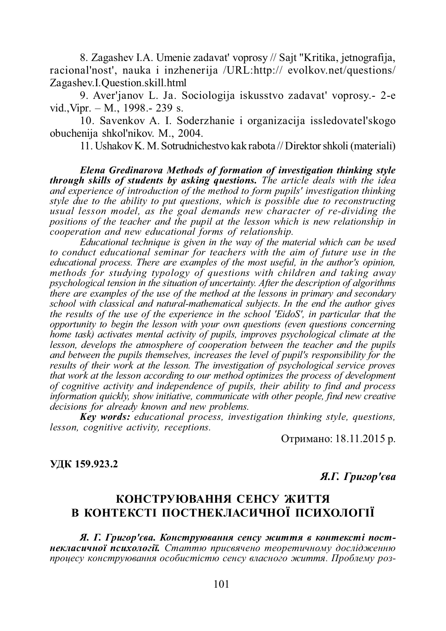8. Zagashev I.A. Umenie zadavat' voprosy // Sajt "Kritika, jetnografija, racional'nost', nauka i inzhenerija /URL:http:// evolkov.net/questions/ Zagashev.I.Question.skill.html

9. Aver'janov L. Ja. Sociologija iskusstvo zadavat' voprosy.- 2-e vid.,Vipr. – M., 1998.- 239 s.

10. Savenkov A. I. Soderzhanie i organizacija issledovateľskogo obuchenija shkol'nikov. M., 2004.

11. Ushakov K. M. Sotrudnichestvo kak rabota // Direktor shkoli (materiali)

*Elena Gredinarova Methods of formation of investigation thinking style through skills of students by asking questions. The article deals with the idea and experience of introduction of the method to form pupils' investigation thinking style due to the ability to put questions, which is possible due to reconstructing usual lesson model, as the goal demands new character of re-dividing the positions of the teacher and the pupil at the lesson which is new relationship in cooperation and new educational forms of relationship.*

*Educational technique is given in the way of the material which can be used to conduct educational seminar for teachers with the aim of future use in the educational process. There are examples of the most useful, in the author's opinion, methods for studying typology of questions with children and taking away psychological tension in the situation of uncertainty. After the description of algorithms there are examples of the use of the method at the lessons in primary and secondary school with classical and natural-mathematical subjects. In the end the author gives the results of the use of the experience in the school 'EidoS', in particular that the opportunity to begin the lesson with your own questions (even questions concerning home task) activates mental activity of pupils, improves psychological climate at the lesson, develops the atmosphere of cooperation between the teacher and the pupils and between the pupils themselves, increases the level of pupil's responsibility for the results of their work at the lesson. The investigation of psychological service proves that work at the lesson according to our method optimizes the process of development of cognitive activity and independence of pupils, their ability to find and process information quickly, show initiative, communicate with other people, find new creative decisions for already known and new problems.*

*Key words: educational process, investigation thinking style, questions, lesson, cognitive activity, receptions.*

Отримано: 18.11.2015 р.

**ɍȾɄ 159.923.2**

*Я.Г. Григор'єва* 

## КОНСТРУЮВАННЯ СЕНСУ ЖИТТЯ В КОНТЕКСТІ ПОСТНЕКЛАСИЧНОЇ ПСИХОЛОГІЇ

Я. Г. Григор'єва. Конструювання сенсу життя в контексті постнекласичної психології. Статтю присвячено теоретичному дослідженню процесу конструювання особистістю сенсу власного життя. Проблему роз-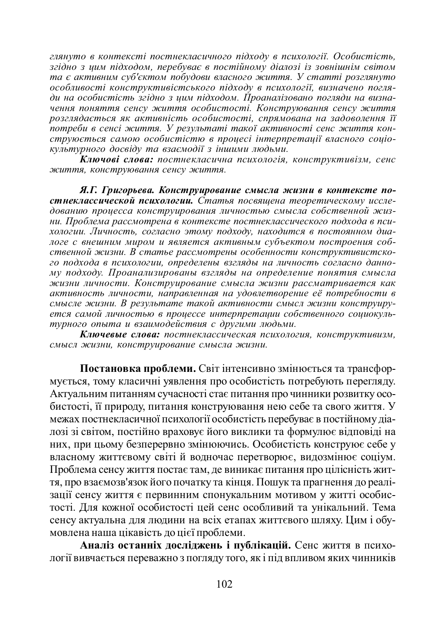$\lambda$ zдянуто в контексті постнекласичного підходу в психології. Особистість,  $32\mathrm{i}\partial$ но  $3$  шим підходом, перебуває в постійному діалозі із зовнішнім світом та є активним суб'єктом побудови власного життя. У статті розглянуто  $\alpha$ собливості конструктивістського підходу в психології, визначено погляди на особистість згідно з цим підходом. Проаналізовано погляди на визначення поняття сенсу життя особистості. Конструювання сенсу життя розглядається як активність особистості, спрямована на задоволення її <del><sup>*'n*</sup> отреби в сенсі життя. У результаті такої активності сенс життя кон-</del> струюється самою особистістю в процесі інтерпретації власного соціо*культурного досвіду та взаємодії з іншими людьми.* 

 $\tilde{\textbf{\textit{K}}}$ лючові слова: постнекласична психологія, конструктивізм, сенс  $x$ еиття, конструювання сенсу життя.

**Я.Г.** Григорьева, Конструирование смысла жизни в контексте постнеклассической психологии. Статья посвящена теоретическому исследованию процесса конструирования личностью смысла собственной жизни. Проблема рассмотрена в контексте постнеклассического подхода в пси**хологии. Личность, согласно этому подходу, находится в постоянном диа**логе с внешним миром и является активным субъектом построения собственной жизни. В статье рассмотрены особенности конструктивистского подхода в психологии, определены взгляды на личность согласно данному подходу. Проанализированы взгляды на определение понятия смысла **жизни личности. Конструирование смысла жизни рассматривается как** *ɚɤɬɢɜɧɨɫɬɶ ɥɢɱɧɨɫɬɢ, ɧɚɩɪɚɜɥɟɧɧɚɹɧɚ ɭɞɨɜɥɟɬɜɨɪɟɧɢɟ ɟɺ ɩɨɬɪɟɛɧɨɫɬɢ ɜ* смысле жизни. В результате такой активности смысл жизни конструируется самой личностью в процессе интерпретации собственного социокультурного опыта и взаимодействия с другими людьми.

Ключевые слова: постнеклассическая психология, конструктивизм, смысл жизни, конструирование смысла жизни.

Постановка проблеми. Світ інтенсивно змінюється та трансформується, тому класичні уявлення про особистість потребують перегляду. Актуальним питанням сучасності стає питання про чинники розвитку особистості, її природу, питання конструювання нею себе та свого життя. У межах постнекласичної психології особистість перебуває в постійному діалозі зі світом, постійно враховує його виклики та формулює відповіді на них, при цьому безперервно змінюючись. Особистість конструює себе у власному життєвому світі й водночас перетворює, видозмінює соціум. Проблема сенсу життя постає там, де виникає питання про цілісність життя, про взаємозв'язок його початку та кінця. Пошук та прагнення до реалізації сенсу життя є первинним спонукальним мотивом у житті особистості. Для кожної особистості цей сенс особливий та унікальний. Тема сенсу актуальна для людини на всіх етапах життєвого шляху. Цим і обумовлена наша цікавість до цієї проблеми.

Аналіз останніх досліджень і публікацій. Сенс життя в психології вивчається переважно з погляду того, як і під впливом яких чинників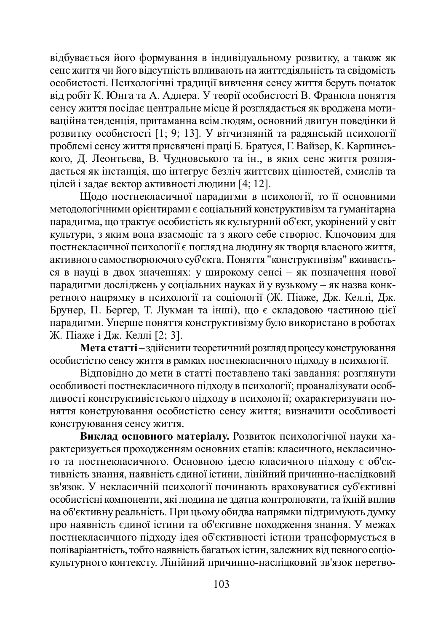відбувається його формування в індивідуальному розвитку, а також як сенс життя чи його відсутність впливають на життєдіяльність та свідомість особистості. Психологічні традиції вивчення сенсу життя беруть початок від робіт К. Юнга та А. Адлера. У теорії особистості В. Франкла поняття сенсу життя посідає центральне місце й розглядається як вроджена мотиваційна тенденція, притаманна всім людям, основний двигун поведінки й розвитку особистості [1; 9; 13]. У вітчизняній та радянській психології проблемі сенсу життя присвячені праці Б. Братуся. Г. Вайзер. К. Карпинсь- $\overline{a}$ кого, Д. Леонтьєва, В. Чудновського та ін., в яких сенс життя розглядається як інстанція, що інтегрує безліч життєвих цінностей, смислів та цілей і задає вектор активності людини [4; 12].

Щодо постнекласичної парадигми в психології, то її основними методологічними орієнтирами є соціальний конструктивізм та гуманітарна парадигма, що трактує особистість як культурний об'єкт, укорінений у світ культури, з яким вона взаємодіє та з якого себе створює. Ключовим для ностнекласичної психології є погляд на людину як творця власного життя, активного самостворюючого суб'єкта. Поняття "конструктивізм" вживається в науці в двох значеннях: у широкому сенсі – як позначення нової парадигми досліджень у соціальних науках й у вузькому – як назва конкperного напрямку в психології та соціології (Ж. Піаже, Дж. Келлі, Дж. Брунер, П. Бергер, Т. Лукман та інші), що є складовою частиною цієї парадигми. Уперше поняття конструктивізму було використано в роботах Ж. Піаже і Дж. Келлі [2; 3].

**Мета статті** – здійснити теоретичний розгляд процесу конструювання особистістю сенсу життя в рамках постнекласичного підходу в психології.

Відповідно до мети в статті поставлено такі завдання: розглянути особливості постнекласичного підходу в психології; проаналізувати особливості конструктивістського підходу в психології; охарактеризувати поняття конструювання особистістю сенсу життя; визначити особливості конструювання сенсу життя.

**Виклад основного матеріалу.** Розвиток психологічної науки характеризується проходженням основних етапів: класичного, некласичного та постнекласичного. Основною ідеєю класичного підходу є об'єктивність знання, наявність єдиної істини, лінійний причинно-наслідковий зв'язок. У некласичній психології починають враховуватися суб'єктивні особистісні компоненти, які людина не здатна контролювати, та їхній вплив на об'єктивну реальність. При цьому обидва напрямки підтримують думку про наявність єдиної істини та об'єктивне походження знання. У межах постнекласичного підходу ідея об'єктивності істини трансформується в поліваріантність, тобто наявність багатьох істин, залежних від певного соціокультурного контексту. Лінійний причинно-наслідковий зв'язок перетво-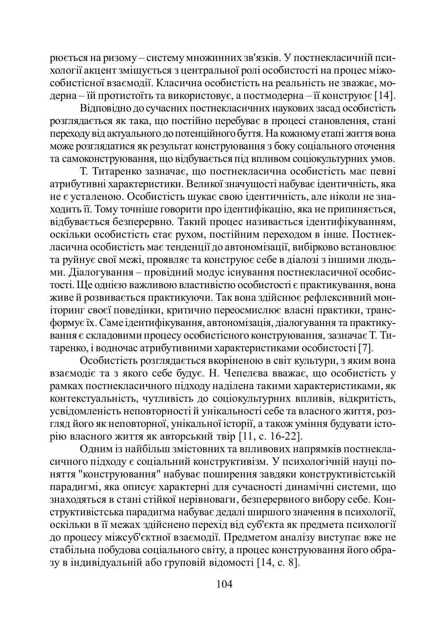рюється на ризому – систему множинних зв'язків. У постнекласичній пси-•<br>хології акцент зміщується з центральної ролі особистості на процес міжособистісної взаємодії. Класична особистість на реальність не зважає, модерна – їй протистоїть та використовує, а постмодерна – її конструює [14].

Відповідно до сучасних постнекласичних наукових засад особистість розглядається як така, що постійно перебуває в процесі становлення, стані тереходу від актуального до потенційного буття. На кожному етапі життя вона h\www.costruarizatives are between the concrete as the solve contains a construction of the material states in та самоконструювання, що відбувається під впливом соціокультурних умов.

Т. Титаренко зазначає, що постнекласична особистість має певні атрибутивні характеристики. Великої значущості набуває ідентичність, яка не є усталеною. Особистість шукає свою ідентичність, але ніколи не знаходить її. Тому точніше говорити про ідентифікацію, яка не припиняється, відбувається безперервно. Такий процес називається ідентифікуванням, оскільки особистість стає рухом, постійним переходом в інше. Постнекласична особистість має тенденції до автономізації, вибірково встановлює та руйнує свої межі, проявляє та конструює себе в діалозі з іншими людьми. Діалогування – провідний модус існування постнекласичної особистості. Ще однією важливою властивістю особистості є практикування, вона живе й розвивається практикуючи. Так вона здійснює рефлексивний моніторинг своєї поведінки, критично переосмислює власні практики, трансформує їх. Саме ідентифікування, автономізація, діалогування та практикуɜɚɧɧɹɽɫɤɥɚɞɨɜɢɦɢɩɪɨɰɟɫɭɨɫɨɛɢɫɬɿɫɧɨɝɨɤɨɧɫɬɪɭɸɜɚɧɧɹ, ɡɚɡɧɚɱɚɽɌ. Ɍɢтаренко, і водночас атрибутивними характеристиками особистості [7].

Особистість розглядається вкоріненою в світ культури, з яким вона взаємодіє та з якого себе будує. Н. Чепелєва вважає, що особистість у рамках постнекласичного підходу наділена такими характеристиками, як •<br>контекстуальність, чутливість до соціокультурних впливів, відкритість, усвідомленість неповторності й унікальності себе та власного життя, розуняд його як неповторної, унікальної історії, а також уміння будувати історію власного життя як авторський твір [11, с. 16-22].

Одним із найбільш змістовних та впливових напрямків постнекласичного підходу є соціальний конструктивізм. У психологічній науці поняття "конструювання" набуває поширення завдяки конструктивістській парадигмі, яка описує характерні для сучасності динамічні системи, що знаходяться в стані стійкої нерівноваги, безперервного вибору себе. Конструктивістська парадигма набуває дедалі ширшого значення в психології, оскільки в її межах здійснено перехід від суб'єкта як предмета психології до процесу міжсуб'єктної взаємодії. Предметом аналізу виступає вже не стабільна побудова соціального світу, а процес конструювання його образу в індивідуальній або груповій відомості [14, с. 8].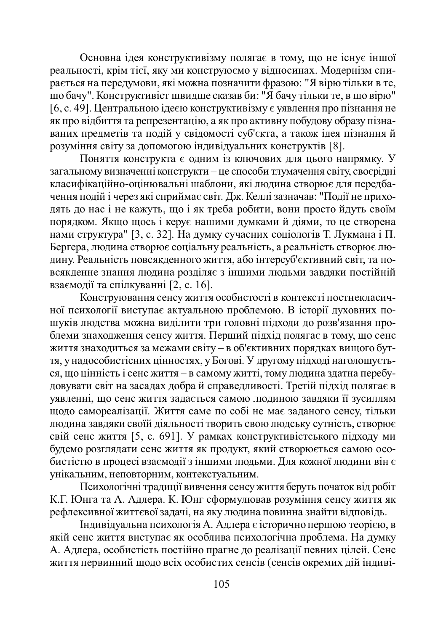Основна ідея конструктивізму полягає в тому, що не існує іншої реальності, крім тієї, яку ми конструюємо у відносинах. Модернізм спити и полицата и и тельсов и тельсов и тельсов и тельсов и тельсов и тельсов и тельсов и тельсов и тельсов и те по бачу". Конструктивіст швидше сказав би: "Я бачу тільки те, в що вірю" [6, с. 49]. Центральною ідеєю конструктивізму є уявлення про пізнання не ак про відбиття та репрезентацію, а як про активну побудову образу пізнаваних предметів та подій у свідомості суб'єкта, а також ідея пізнання й **розуміння світу за допомогою індивідуальних конструктів** [8].

Поняття конструкта є одним із ключових для цього напрямку. У загальному визначенні конструкти – це способи тлумачення світу, своєрідні класифікаційно-оцінювальні шаблони, які людина створює для передбачення подій і через які сприймає світ. Дж. Келлі зазначав: "Події не приходять до нас і не кажуть, що і як треба робити, вони просто йдуть своїм порядком. Якщо щось і керує нашими думками й діями, то це створена нами структура" [3, с. 32]. На думку сучасних соціологів Т. Лукмана і П. Бергера, людина створює соціальну реальність, а реальність створює людину. Реальність повсякденного життя, або інтерсуб'єктивний світ, та повсякденне знання людина розділяє з іншими людьми завдяки постійній взаємодії та спілкуванні  $[2, c. 16]$ .

Конструювання сенсу життя особистості в контексті постнекласичної психології виступає актуальною проблемою. В історії духовних пошуків людства можна виділити три головні підходи до розв'язання проблеми знаходження сенсу життя. Перший підхід полягає в тому, що сенс життя знаходиться за межами світу – в об'єктивних порядках вищого бутɬɹ, ɭɧɚɞɨɫɨɛɢɫɬɿɫɧɢɯɰɿɧɧɨɫɬɹɯ, ɭȻɨɝɨɜɿ. ɍɞɪɭɝɨɦɭɩɿɞɯɨɞɿɧɚɝɨɥɨɲɭɽɬɶся, що цінність і сенс життя – в самому житті, тому людина здатна перебудовувати світ на засадах добра й справедливості. Третій підхід полягає в уявленні, що сенс життя задається самою людиною завдяки її зусиллям •<br>щодо самореалізації. Життя саме по собі не має заданого сенсу, тільки людина завдяки своїй діяльності творить свою людську сутність, створює свій сенс життя [5, с. 691]. У рамках конструктивістського підходу ми будемо розглядати сенс життя як продукт, який створюється самою особистістю в процесі взаємодії з іншими людьми. Для кожної людини він є унікальним, неповторним, контекстуальним.

Психологічні традиції вивчення сенсу життя беруть початок від робіт К.Г. Юнга та А. Адлера. К. Юнг сформулював розуміння сенсу життя як рефлексивної життєвої задачі, на яку людина повинна знайти відповідь.

Ӏндивідуальна психологія А. Адлера є історично першою теорією, в якій сенс життя виступає як особлива психологічна проблема. На думку А. Адлера, особистість постійно прагне до реалізації певних цілей. Сенс життя первинний щодо всіх особистих сенсів (сенсів окремих дій індиві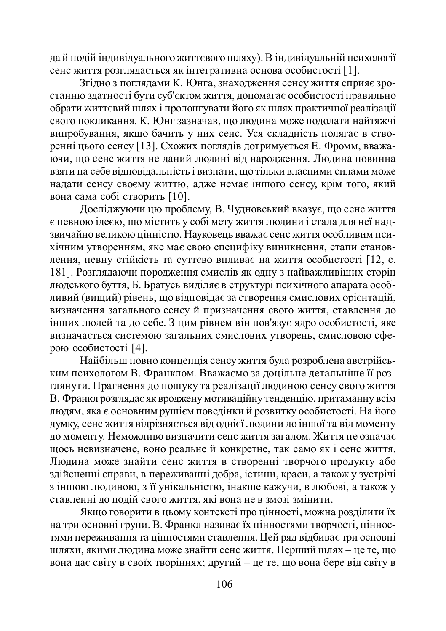дай подій індивідуального життєвого шляху). В індивідуальній психології сенс життя розглядається як інтегративна основа особистості [1].

Згідно з поглядами К. Юнга, знаходження сенсу життя сприяє зростанню здатності бути суб'єктом життя, допомагає особистості правильно обрати життєвий шлях і пролонгувати його як шлях практичної реалізації ɫɜɨɝɨɩɨɤɥɢɤɚɧɧɹ. Ʉ. ɘɧɝɡɚɡɧɚɱɚɜ, ɳɨɥɸɞɢɧɚɦɨɠɟɩɨɞɨɥɚɬɢɧɚɣɬɹɠɱɿ випробування, якщо бачить у них сенс. Уся складність полягає в створенні цього сенсу [13]. Схожих поглядів дотримується Е. Фромм, вважаъ<br>ючи, що сенс життя не даний людині від народження. Людина повинна взяти на себе відповідальність і визнати, що тільки власними силами може надати сенсу своєму життю, адже немає іншого сенсу, крім того, який вона сама собі створить [10].

Досліджуючи цю проблему, В. Чудновський вказує, що сенс життя є певною ідеєю, що містить у собі мету життя людини і стала для неї надзвичайно великою цінністю. Науковець вважає сенс життя особливим психічним утворенням, яке має свою специфіку виникнення, етапи становлення, певну стійкість та суттєво впливає на життя особистості [12, с. 181]. Розглядаючи породження смислів як одну з найважливіших сторін людського буття, Б. Братусь виділяє в структурі психічного апарата особливий (вищий) рівень, що відповідає за створення смислових орієнтацій, визначення загального сенсу й призначення свого життя, ставлення до інших людей та до себе. З цим рівнем він пов'язує ядро особистості, яке визначається системою загальних смислових утворень, смисловою сферою особистості [4].

Найбільш повно концепція сенсу життя була розроблена австрійським психологом В. Франклом. Вважаємо за доцільне детальніше її розглянути. Прагнення до пошуку та реалізації людиною сенсу свого життя В. Франкл розглядає як вроджену мотиваційну тенденцію, притаманну всім людям, яка є основним рушієм поведінки й розвитку особистості. На його думку, сенс життя відрізняється від однієї людини до іншої та від моменту до моменту. Неможливо визначити сенс життя загалом. Життя не означає щось невизначене, воно реальне й конкретне, так само як і сенс життя. Людина може знайти сенс життя в створенні творчого продукту або здійсненні справи, в переживанні добра, істини, краси, а також у зустрічі з іншою людиною, з її унікальністю, інакше кажучи, в любові, а також у ставленні до подій свого життя, які вона не в змозі змінити.

Якщо говорити в цьому контексті про цінності, можна розділити їх на три основні групи. В. Франкл називає їх цінностями творчості, цінностями переживання та цінностями ставлення. Цей ряд відбиває три основні шляхи, якими людина може знайти сенс життя. Перший шлях – це те, що вона дає світу в своїх творіннях; другий – це те, що вона бере від світу в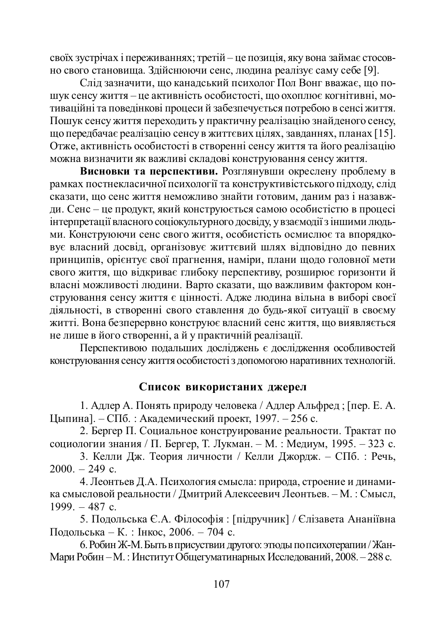своїх зустрічах і переживаннях; третій – це позиція, яку вона займає стосовно свого становища. Здійснюючи сенс, людина реалізує саму себе [9].

Слід зазначити, що канадський психолог Пол Вонг вважає, що пошук сенсу життя – це активність особистості, що охоплює когнітивні, мотиваційні та поведінкові процеси й забезпечується потребою в сенсі життя. Пошук сенсу життя переходить у практичну реалізацію знайденого сенсу, що передбачає реалізацію сенсу в життєвих цілях, завданнях, планах [15]. Отже, активність особистості в створенні сенсу життя та його реалізацію можна визначити як важливі складові конструювання сенсу життя.

**Висновки та перспективи.** Розглянувши окреслену проблему в рамках постнекласичної психології та конструктивістського підходу, слід .<br>сказати, що сенс життя неможливо знайти готовим, даним раз і назавжди. Сенс – це продукт, який конструюється самою особистістю в процесі нтерпретації власного соціокультурного лосвіду, у взаємодії з іншими люльми. Конструюючи сенс свого життя, особистість осмислює та впорядковує власний досвід, організовує життєвий шлях відповідно до певних лринципів, орієнтує свої прагнення, наміри, плани щодо головної мети ана свого життя, що відкриває глибоку перспективу, розширює горизонти й власні можливості людини. Варто сказати, що важливим фактором конструювання сенсу життя є цінності. Адже людина вільна в виборі своєї діяльності, в створенні свого ставлення до будь-якої ситуації в своєму житті. Вона безперервно конструює власний сенс життя, що виявляється не лише в його створенні, а й у практичній реалізації.

Перспективою подальших досліджень є дослідження особливостей конструювання сенсу життя особистості з допомогою наративних технологій.

## Список використаних джерел

1. Адлер А. Понять природу человека / Адлер Альфред; [пер. Е. А. Цыпина]. – СПб.: Академический проект, 1997. – 256 с.

2. Бергер П. Социальное конструирование реальности. Трактат по социологии знания / П. Бергер, Т. Лукман. – М. : Медиум, 1995. – 323 с.

3. Келли Дж. Теория личности / Келли Джордж. – СПб. : Речь,  $2000. - 249$  c.

4. Леонтьев Д.А. Психология смысла: природа, строение и динамика смысловой реальности / Дмитрий Алексеевич Леонтьев. – М. : Смысл,  $1999. - 487$  c.

5. Подольська Є.А. Філософія : [підручник] / Єлізавета Ананіївна Подольська – К. : Інкос, 2006. – 704 с.

6. Робин Ж-М. Быть в присуствии другого: этюды по психотерапии / Жан-Мари Робин – М.: Институт Общегуматинарных Исследований, 2008. – 288 с.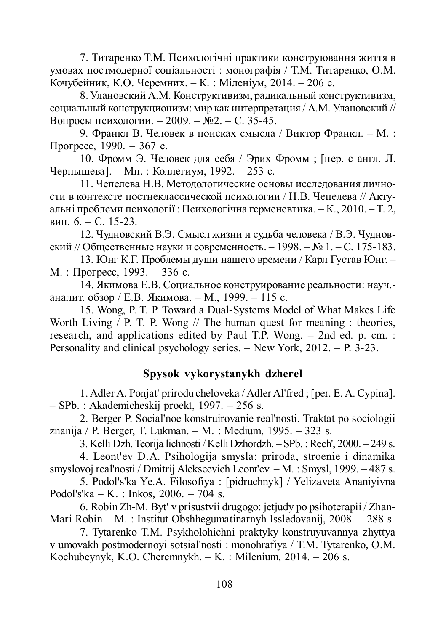7. Титаренко Т.М. Психологічні практики конструювання життя в умовах постмодерної соціальності: монографія / Т.М. Титаренко, О.М. Кочубейник, К.О. Черемних. – К. : Міленіум, 2014. – 206 с.

8. Улановский А.М. Конструктивизм, радикальный конструктивизм, социальный конструкционизм: мир как интерпретация / А.М. Улановский // Вопросы психологии. – 2009. –  $N_2$ . – С. 35-45.

9. Франкл В. Человек в поисках смысла / Виктор Франкл. – М. :  $\Pi$ porpecc, 1990. – 367 c.

10. Фромм Э. Человек для себя / Эрих Фромм; [пер. с англ. Л. Чернышева]. – Мн. : Коллегиум, 1992. – 253 с.

11. Чепелева Н.В. Методологические основы исследования личности в контексте постнеклассической психологии / Н.В. Чепелева // Актуальні проблеми психології : Психологічна герменевтика. – К., 2010. – Т. 2, вип.  $6. - C. 15-23.$ 

12. Чудновский В.Э. Смысл жизни и судьба человека / В.Э. Чудновский // Общественные науки и современность. – 1998. – № 1. – С. 175-183.

13. Юнг К.Г. Проблемы души нашего времени / Карл Густав Юнг. –  $M.$ : Прогресс, 1993. – 336 с.

14. Якимова Е.В. Социальное конструирование реальности: науч.аналит. обзор / Е.В. Якимова. – М., 1999. – 115 с.

15. Wong, P. T. P. Toward a Dual-Systems Model of What Makes Life Worth Living / P. T. P. Wong // The human quest for meaning : theories, research, and applications edited by Paul T.P. Wong. – 2nd ed. p. cm. : Personality and clinical psychology series. – New York,  $2012 - P. 3-23$ .

## **Spysok vykorystanykh dzherel**

1. Adler A. Ponjat' prirodu cheloveka / Adler Al'fred ; [per. E. A. Cypina]. – SPb. : Akademicheskij proekt, 1997. – 256 s.

2. Berger P. Social'noe konstruirovanie real'nosti. Traktat po sociologii znanija / P. Berger, T. Lukman. – M. : Medium, 1995. – 323 s.

3. Kelli Dzh. Teorija lichnosti / Kelli Dzhordzh. – SPb. : Rech', 2000. – 249 s.

4. Leont'ev D.A. Psihologija smysla: priroda, stroenie i dinamika smyslovoj real'nosti / Dmitrij Alekseevich Leont'ev. – M. : Smysl, 1999. – 487 s.

5. Podol's'ka Ye.A. Filosofiya : [pidruchnyk] / Yelizaveta Ananiyivna Podol's'ka – K. : Inkos, 2006. – 704 s.

6. Robin Zh-M. Byt' v prisustvii drugogo: jetjudy po psihoterapii / Zhan-Mari Robin – M. : Institut Obshhegumatinarnyh Issledovanij, 2008. – 288 s.

7. Tytarenko T.M. Psykholohichni praktyky konstruyuvannya zhyttya v umovakh postmodernoyi sotsial'nosti : monohrafiya / T.M. Tytarenko, O.M. Kochubeynyk, K.O. Cheremnykh. – K. : Milenium, 2014. – 206 s.